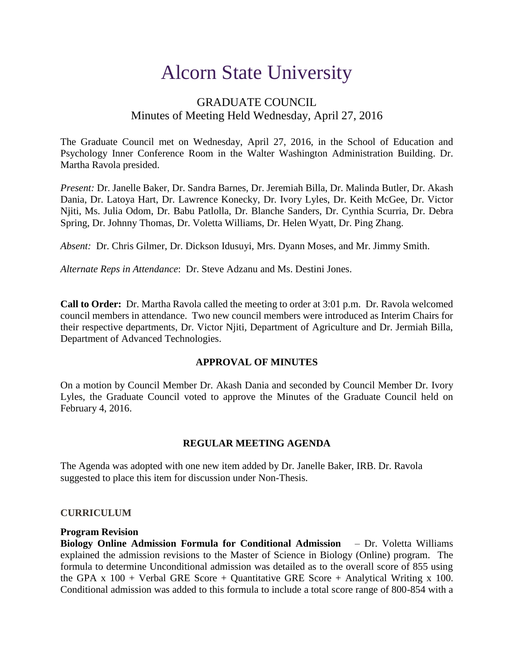# Alcorn State University

# GRADUATE COUNCIL Minutes of Meeting Held Wednesday, April 27, 2016

The Graduate Council met on Wednesday, April 27, 2016, in the School of Education and Psychology Inner Conference Room in the Walter Washington Administration Building. Dr. Martha Ravola presided.

*Present:* Dr. Janelle Baker, Dr. Sandra Barnes, Dr. Jeremiah Billa, Dr. Malinda Butler, Dr. Akash Dania, Dr. Latoya Hart, Dr. Lawrence Konecky, Dr. Ivory Lyles, Dr. Keith McGee, Dr. Victor Njiti, Ms. Julia Odom, Dr. Babu Patlolla, Dr. Blanche Sanders, Dr. Cynthia Scurria, Dr. Debra Spring, Dr. Johnny Thomas, Dr. Voletta Williams, Dr. Helen Wyatt, Dr. Ping Zhang.

*Absent:* Dr. Chris Gilmer, Dr. Dickson Idusuyi, Mrs. Dyann Moses, and Mr. Jimmy Smith.

*Alternate Reps in Attendance*: Dr. Steve Adzanu and Ms. Destini Jones.

**Call to Order:** Dr. Martha Ravola called the meeting to order at 3:01 p.m. Dr. Ravola welcomed council members in attendance. Two new council members were introduced as Interim Chairs for their respective departments, Dr. Victor Njiti, Department of Agriculture and Dr. Jermiah Billa, Department of Advanced Technologies.

#### **APPROVAL OF MINUTES**

On a motion by Council Member Dr. Akash Dania and seconded by Council Member Dr. Ivory Lyles, the Graduate Council voted to approve the Minutes of the Graduate Council held on February 4, 2016.

## **REGULAR MEETING AGENDA**

The Agenda was adopted with one new item added by Dr. Janelle Baker, IRB. Dr. Ravola suggested to place this item for discussion under Non-Thesis.

#### **CURRICULUM**

#### **Program Revision**

**Biology Online Admission Formula for Conditional Admission** – Dr. Voletta Williams explained the admission revisions to the Master of Science in Biology (Online) program. The formula to determine Unconditional admission was detailed as to the overall score of 855 using the GPA x  $100 +$  Verbal GRE Score + Quantitative GRE Score + Analytical Writing x 100. Conditional admission was added to this formula to include a total score range of 800-854 with a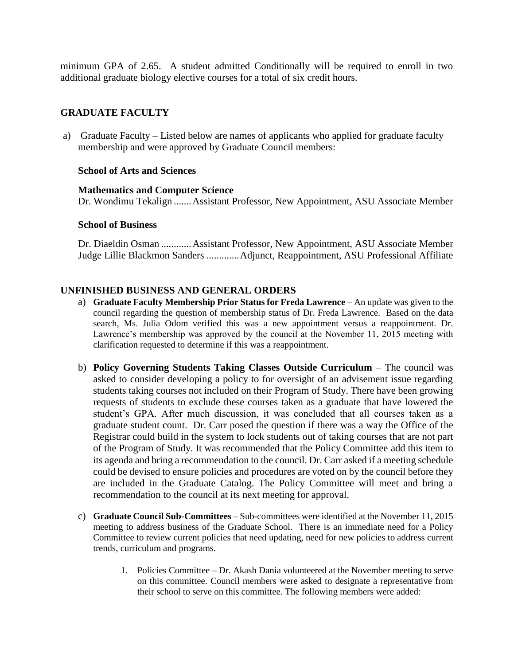minimum GPA of 2.65. A student admitted Conditionally will be required to enroll in two additional graduate biology elective courses for a total of six credit hours.

## **GRADUATE FACULTY**

a) Graduate Faculty – Listed below are names of applicants who applied for graduate faculty membership and were approved by Graduate Council members:

#### **School of Arts and Sciences**

#### **Mathematics and Computer Science**

Dr. Wondimu Tekalign .......Assistant Professor, New Appointment, ASU Associate Member

#### **School of Business**

 Dr. Diaeldin Osman ............Assistant Professor, New Appointment, ASU Associate Member Judge Lillie Blackmon Sanders .............Adjunct, Reappointment, ASU Professional Affiliate

#### **UNFINISHED BUSINESS AND GENERAL ORDERS**

- a) **Graduate Faculty Membership Prior Status for Freda Lawrence** An update was given to the council regarding the question of membership status of Dr. Freda Lawrence. Based on the data search, Ms. Julia Odom verified this was a new appointment versus a reappointment. Dr. Lawrence's membership was approved by the council at the November 11, 2015 meeting with clarification requested to determine if this was a reappointment.
- b) **Policy Governing Students Taking Classes Outside Curriculum** The council was asked to consider developing a policy to for oversight of an advisement issue regarding students taking courses not included on their Program of Study. There have been growing requests of students to exclude these courses taken as a graduate that have lowered the student's GPA. After much discussion, it was concluded that all courses taken as a graduate student count. Dr. Carr posed the question if there was a way the Office of the Registrar could build in the system to lock students out of taking courses that are not part of the Program of Study. It was recommended that the Policy Committee add this item to its agenda and bring a recommendation to the council. Dr. Carr asked if a meeting schedule could be devised to ensure policies and procedures are voted on by the council before they are included in the Graduate Catalog. The Policy Committee will meet and bring a recommendation to the council at its next meeting for approval.
- c) **Graduate Council Sub-Committees** Sub-committees were identified at the November 11, 2015 meeting to address business of the Graduate School. There is an immediate need for a Policy Committee to review current policies that need updating, need for new policies to address current trends, curriculum and programs.
	- 1. Policies Committee Dr. Akash Dania volunteered at the November meeting to serve on this committee. Council members were asked to designate a representative from their school to serve on this committee. The following members were added: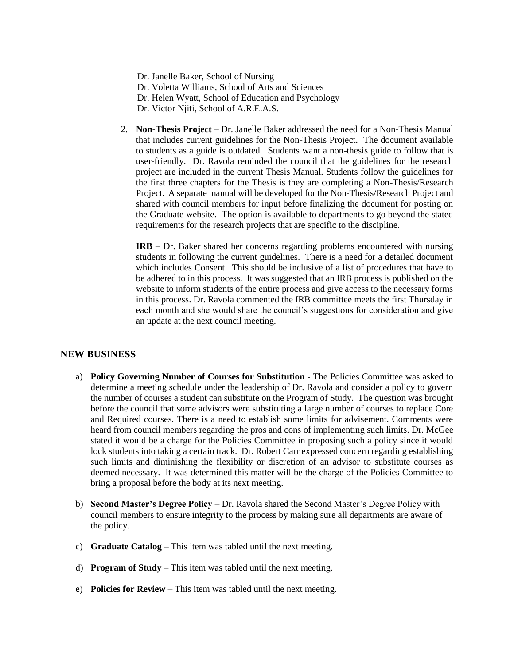Dr. Janelle Baker, School of Nursing Dr. Voletta Williams, School of Arts and Sciences Dr. Helen Wyatt, School of Education and Psychology Dr. Victor Njiti, School of A.R.E.A.S.

2. **Non-Thesis Project** – Dr. Janelle Baker addressed the need for a Non-Thesis Manual that includes current guidelines for the Non-Thesis Project. The document available to students as a guide is outdated. Students want a non-thesis guide to follow that is user-friendly. Dr. Ravola reminded the council that the guidelines for the research project are included in the current Thesis Manual. Students follow the guidelines for the first three chapters for the Thesis is they are completing a Non-Thesis/Research Project. A separate manual will be developed for the Non-Thesis/Research Project and shared with council members for input before finalizing the document for posting on the Graduate website. The option is available to departments to go beyond the stated requirements for the research projects that are specific to the discipline.

**IRB –** Dr. Baker shared her concerns regarding problems encountered with nursing students in following the current guidelines. There is a need for a detailed document which includes Consent. This should be inclusive of a list of procedures that have to be adhered to in this process. It was suggested that an IRB process is published on the website to inform students of the entire process and give access to the necessary forms in this process. Dr. Ravola commented the IRB committee meets the first Thursday in each month and she would share the council's suggestions for consideration and give an update at the next council meeting.

#### **NEW BUSINESS**

- a) **Policy Governing Number of Courses for Substitution** The Policies Committee was asked to determine a meeting schedule under the leadership of Dr. Ravola and consider a policy to govern the number of courses a student can substitute on the Program of Study. The question was brought before the council that some advisors were substituting a large number of courses to replace Core and Required courses. There is a need to establish some limits for advisement. Comments were heard from council members regarding the pros and cons of implementing such limits. Dr. McGee stated it would be a charge for the Policies Committee in proposing such a policy since it would lock students into taking a certain track. Dr. Robert Carr expressed concern regarding establishing such limits and diminishing the flexibility or discretion of an advisor to substitute courses as deemed necessary. It was determined this matter will be the charge of the Policies Committee to bring a proposal before the body at its next meeting.
- b) **Second Master's Degree Policy** Dr. Ravola shared the Second Master's Degree Policy with council members to ensure integrity to the process by making sure all departments are aware of the policy.
- c) **Graduate Catalog** This item was tabled until the next meeting.
- d) **Program of Study** This item was tabled until the next meeting.
- e) **Policies for Review** This item was tabled until the next meeting.